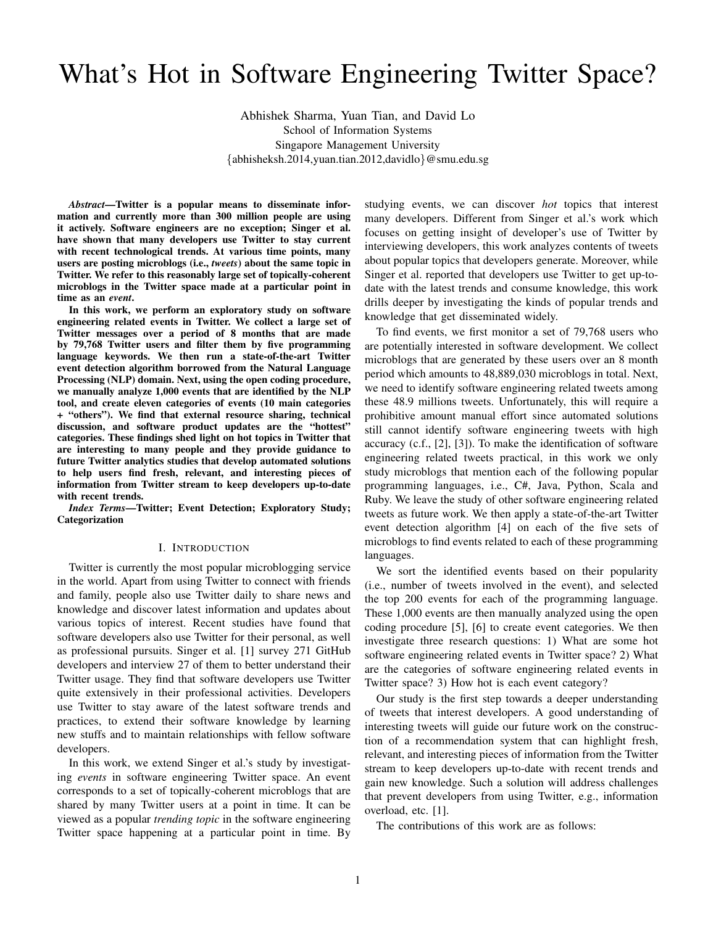# What's Hot in Software Engineering Twitter Space?

Abhishek Sharma, Yuan Tian, and David Lo School of Information Systems Singapore Management University {abhisheksh.2014,yuan.tian.2012,davidlo}@smu.edu.sg

*Abstract*—Twitter is a popular means to disseminate information and currently more than 300 million people are using it actively. Software engineers are no exception; Singer et al. have shown that many developers use Twitter to stay current with recent technological trends. At various time points, many users are posting microblogs (i.e., *tweets*) about the same topic in Twitter. We refer to this reasonably large set of topically-coherent microblogs in the Twitter space made at a particular point in time as an *event*.

In this work, we perform an exploratory study on software engineering related events in Twitter. We collect a large set of Twitter messages over a period of 8 months that are made by 79,768 Twitter users and filter them by five programming language keywords. We then run a state-of-the-art Twitter event detection algorithm borrowed from the Natural Language Processing (NLP) domain. Next, using the open coding procedure, we manually analyze 1,000 events that are identified by the NLP tool, and create eleven categories of events (10 main categories + "others"). We find that external resource sharing, technical discussion, and software product updates are the "hottest" categories. These findings shed light on hot topics in Twitter that are interesting to many people and they provide guidance to future Twitter analytics studies that develop automated solutions to help users find fresh, relevant, and interesting pieces of information from Twitter stream to keep developers up-to-date with recent trends.

*Index Terms*—Twitter; Event Detection; Exploratory Study; Categorization

## I. INTRODUCTION

Twitter is currently the most popular microblogging service in the world. Apart from using Twitter to connect with friends and family, people also use Twitter daily to share news and knowledge and discover latest information and updates about various topics of interest. Recent studies have found that software developers also use Twitter for their personal, as well as professional pursuits. Singer et al. [1] survey 271 GitHub developers and interview 27 of them to better understand their Twitter usage. They find that software developers use Twitter quite extensively in their professional activities. Developers use Twitter to stay aware of the latest software trends and practices, to extend their software knowledge by learning new stuffs and to maintain relationships with fellow software developers.

In this work, we extend Singer et al.'s study by investigating *events* in software engineering Twitter space. An event corresponds to a set of topically-coherent microblogs that are shared by many Twitter users at a point in time. It can be viewed as a popular *trending topic* in the software engineering Twitter space happening at a particular point in time. By studying events, we can discover *hot* topics that interest many developers. Different from Singer et al.'s work which focuses on getting insight of developer's use of Twitter by interviewing developers, this work analyzes contents of tweets about popular topics that developers generate. Moreover, while Singer et al. reported that developers use Twitter to get up-todate with the latest trends and consume knowledge, this work drills deeper by investigating the kinds of popular trends and knowledge that get disseminated widely.

To find events, we first monitor a set of 79,768 users who are potentially interested in software development. We collect microblogs that are generated by these users over an 8 month period which amounts to 48,889,030 microblogs in total. Next, we need to identify software engineering related tweets among these 48.9 millions tweets. Unfortunately, this will require a prohibitive amount manual effort since automated solutions still cannot identify software engineering tweets with high accuracy (c.f., [2], [3]). To make the identification of software engineering related tweets practical, in this work we only study microblogs that mention each of the following popular programming languages, i.e., C#, Java, Python, Scala and Ruby. We leave the study of other software engineering related tweets as future work. We then apply a state-of-the-art Twitter event detection algorithm [4] on each of the five sets of microblogs to find events related to each of these programming languages.

We sort the identified events based on their popularity (i.e., number of tweets involved in the event), and selected the top 200 events for each of the programming language. These 1,000 events are then manually analyzed using the open coding procedure [5], [6] to create event categories. We then investigate three research questions: 1) What are some hot software engineering related events in Twitter space? 2) What are the categories of software engineering related events in Twitter space? 3) How hot is each event category?

Our study is the first step towards a deeper understanding of tweets that interest developers. A good understanding of interesting tweets will guide our future work on the construction of a recommendation system that can highlight fresh, relevant, and interesting pieces of information from the Twitter stream to keep developers up-to-date with recent trends and gain new knowledge. Such a solution will address challenges that prevent developers from using Twitter, e.g., information overload, etc. [1].

The contributions of this work are as follows: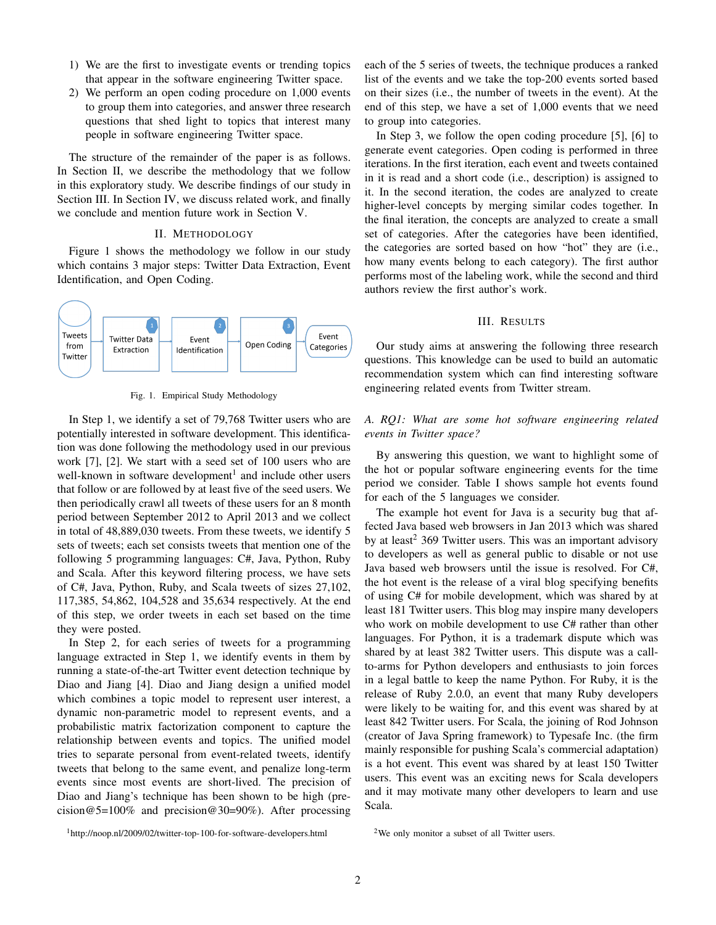- 1) We are the first to investigate events or trending topics that appear in the software engineering Twitter space.
- 2) We perform an open coding procedure on 1,000 events to group them into categories, and answer three research questions that shed light to topics that interest many people in software engineering Twitter space.

The structure of the remainder of the paper is as follows. In Section II, we describe the methodology that we follow in this exploratory study. We describe findings of our study in Section III. In Section IV, we discuss related work, and finally we conclude and mention future work in Section V.

#### II. METHODOLOGY

Figure 1 shows the methodology we follow in our study which contains 3 major steps: Twitter Data Extraction, Event Identification, and Open Coding.



Fig. 1. Empirical Study Methodology

In Step 1, we identify a set of 79,768 Twitter users who are potentially interested in software development. This identification was done following the methodology used in our previous work [7], [2]. We start with a seed set of 100 users who are well-known in software development<sup>1</sup> and include other users that follow or are followed by at least five of the seed users. We then periodically crawl all tweets of these users for an 8 month period between September 2012 to April 2013 and we collect in total of 48,889,030 tweets. From these tweets, we identify 5 sets of tweets; each set consists tweets that mention one of the following 5 programming languages: C#, Java, Python, Ruby and Scala. After this keyword filtering process, we have sets of C#, Java, Python, Ruby, and Scala tweets of sizes 27,102, 117,385, 54,862, 104,528 and 35,634 respectively. At the end of this step, we order tweets in each set based on the time they were posted.

In Step 2, for each series of tweets for a programming language extracted in Step 1, we identify events in them by running a state-of-the-art Twitter event detection technique by Diao and Jiang [4]. Diao and Jiang design a unified model which combines a topic model to represent user interest, a dynamic non-parametric model to represent events, and a probabilistic matrix factorization component to capture the relationship between events and topics. The unified model tries to separate personal from event-related tweets, identify tweets that belong to the same event, and penalize long-term events since most events are short-lived. The precision of Diao and Jiang's technique has been shown to be high (precision@5=100% and precision@30=90%). After processing

<sup>1</sup>http://noop.nl/2009/02/twitter-top-100-for-software-developers.html

each of the 5 series of tweets, the technique produces a ranked list of the events and we take the top-200 events sorted based on their sizes (i.e., the number of tweets in the event). At the end of this step, we have a set of 1,000 events that we need to group into categories.

In Step 3, we follow the open coding procedure [5], [6] to generate event categories. Open coding is performed in three iterations. In the first iteration, each event and tweets contained in it is read and a short code (i.e., description) is assigned to it. In the second iteration, the codes are analyzed to create higher-level concepts by merging similar codes together. In the final iteration, the concepts are analyzed to create a small set of categories. After the categories have been identified, the categories are sorted based on how "hot" they are (i.e., how many events belong to each category). The first author performs most of the labeling work, while the second and third authors review the first author's work.

# III. RESULTS

Our study aims at answering the following three research questions. This knowledge can be used to build an automatic recommendation system which can find interesting software engineering related events from Twitter stream.

# *A. RQ1: What are some hot software engineering related events in Twitter space?*

By answering this question, we want to highlight some of the hot or popular software engineering events for the time period we consider. Table I shows sample hot events found for each of the 5 languages we consider.

The example hot event for Java is a security bug that affected Java based web browsers in Jan 2013 which was shared by at least<sup>2</sup> 369 Twitter users. This was an important advisory to developers as well as general public to disable or not use Java based web browsers until the issue is resolved. For C#, the hot event is the release of a viral blog specifying benefits of using C# for mobile development, which was shared by at least 181 Twitter users. This blog may inspire many developers who work on mobile development to use C# rather than other languages. For Python, it is a trademark dispute which was shared by at least 382 Twitter users. This dispute was a callto-arms for Python developers and enthusiasts to join forces in a legal battle to keep the name Python. For Ruby, it is the release of Ruby 2.0.0, an event that many Ruby developers were likely to be waiting for, and this event was shared by at least 842 Twitter users. For Scala, the joining of Rod Johnson (creator of Java Spring framework) to Typesafe Inc. (the firm mainly responsible for pushing Scala's commercial adaptation) is a hot event. This event was shared by at least 150 Twitter users. This event was an exciting news for Scala developers and it may motivate many other developers to learn and use Scala.

<sup>2</sup>We only monitor a subset of all Twitter users.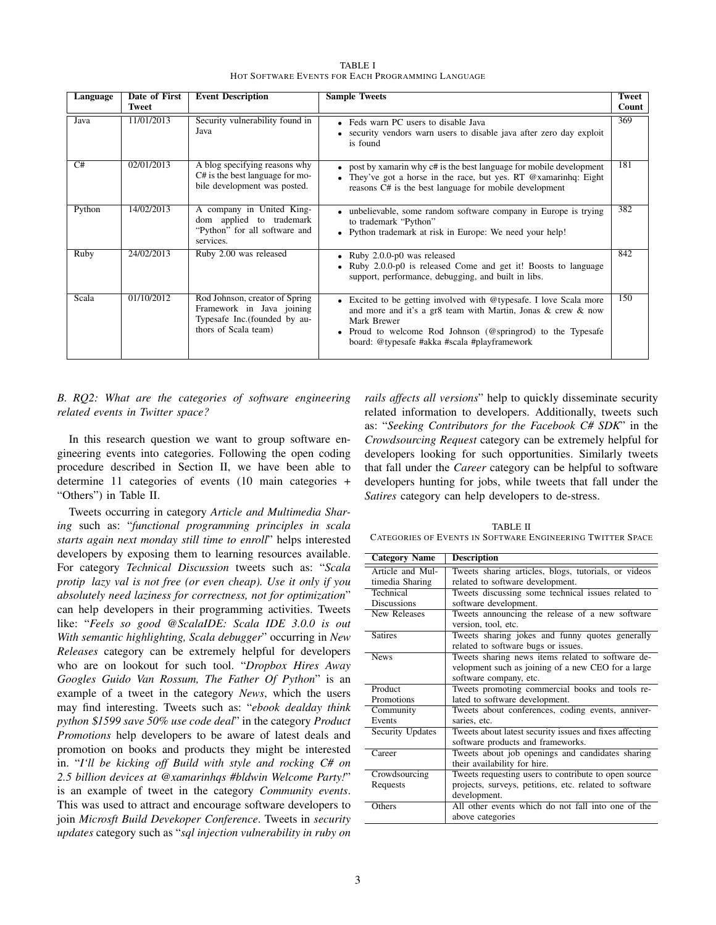| Language | Date of First | <b>Event Description</b>                                                                                             | <b>Sample Tweets</b>                                                                                                                                                                                                                                             | <b>Tweet</b> |
|----------|---------------|----------------------------------------------------------------------------------------------------------------------|------------------------------------------------------------------------------------------------------------------------------------------------------------------------------------------------------------------------------------------------------------------|--------------|
|          | <b>Tweet</b>  |                                                                                                                      |                                                                                                                                                                                                                                                                  | Count        |
| Java     | 11/01/2013    | Security vulnerability found in<br>Java                                                                              | • Feds warn PC users to disable Java<br>• security vendors warn users to disable java after zero day exploit<br>is found                                                                                                                                         | 369          |
| C#       | 02/01/2013    | A blog specifying reasons why<br>C# is the best language for mo-<br>bile development was posted.                     | • post by xamarin why c# is the best language for mobile development<br>They've got a horse in the race, but yes. RT @xamarinhq: Eight<br>$\bullet$<br>reasons C# is the best language for mobile development                                                    | 181          |
| Python   | 14/02/2013    | A company in United King-<br>dom applied to trademark<br>"Python" for all software and<br>services.                  | • unbelievable, some random software company in Europe is trying<br>to trademark "Python"<br>• Python trademark at risk in Europe: We need your help!                                                                                                            | 382          |
| Ruby     | 24/02/2013    | Ruby 2.00 was released                                                                                               | • Ruby 2.0.0-p0 was released<br>• Ruby 2.0.0-p0 is released Come and get it! Boosts to language<br>support, performance, debugging, and built in libs.                                                                                                           | 842          |
| Scala    | 01/10/2012    | Rod Johnson, creator of Spring<br>Framework in Java joining<br>Typesafe Inc. (founded by au-<br>thors of Scala team) | • Excited to be getting involved with @typesafe. I love Scala more<br>and more and it's a gr8 team with Martin, Jonas & crew & now<br>Mark Brewer<br>• Proud to welcome Rod Johnson (@springrod) to the Typesafe<br>board: @typesafe #akka #scala #playframework | 150          |

TABLE I HOT SOFTWARE EVENTS FOR EACH PROGRAMMING LANGUAGE

*B. RQ2: What are the categories of software engineering related events in Twitter space?*

In this research question we want to group software engineering events into categories. Following the open coding procedure described in Section II, we have been able to determine 11 categories of events (10 main categories + "Others") in Table II.

Tweets occurring in category *Article and Multimedia Sharing* such as: "*functional programming principles in scala starts again next monday still time to enroll*" helps interested developers by exposing them to learning resources available. For category *Technical Discussion* tweets such as: "*Scala protip lazy val is not free (or even cheap). Use it only if you absolutely need laziness for correctness, not for optimization*" can help developers in their programming activities. Tweets like: "*Feels so good @ScalaIDE: Scala IDE 3.0.0 is out With semantic highlighting, Scala debugger*" occurring in *New Releases* category can be extremely helpful for developers who are on lookout for such tool. "*Dropbox Hires Away Googles Guido Van Rossum, The Father Of Python*" is an example of a tweet in the category *News*, which the users may find interesting. Tweets such as: "*ebook dealday think python* \$*1599 save 50% use code deal*" in the category *Product Promotions* help developers to be aware of latest deals and promotion on books and products they might be interested in. "*I'll be kicking off Build with style and rocking C# on 2.5 billion devices at @xamarinhqs #bldwin Welcome Party!*" is an example of tweet in the category *Community events*. This was used to attract and encourage software developers to join *Microsft Build Devekoper Conference*. Tweets in *security updates* category such as "*sql injection vulnerability in ruby on*

*rails affects all versions*" help to quickly disseminate security related information to developers. Additionally, tweets such as: "*Seeking Contributors for the Facebook C# SDK*" in the *Crowdsourcing Request* category can be extremely helpful for developers looking for such opportunities. Similarly tweets that fall under the *Career* category can be helpful to software developers hunting for jobs, while tweets that fall under the *Satires* category can help developers to de-stress.

TABLE II CATEGORIES OF EVENTS IN SOFTWARE ENGINEERING TWITTER SPACE

| <b>Category Name</b> | <b>Description</b>                                      |  |  |  |  |  |
|----------------------|---------------------------------------------------------|--|--|--|--|--|
| Article and Mul-     | Tweets sharing articles, blogs, tutorials, or videos    |  |  |  |  |  |
| timedia Sharing      | related to software development.                        |  |  |  |  |  |
| Technical            | Tweets discussing some technical issues related to      |  |  |  |  |  |
| <b>Discussions</b>   | software development.                                   |  |  |  |  |  |
| New Releases         | Tweets announcing the release of a new software         |  |  |  |  |  |
|                      | version, tool, etc.                                     |  |  |  |  |  |
| <b>Satires</b>       | Tweets sharing jokes and funny quotes generally         |  |  |  |  |  |
|                      | related to software bugs or issues.                     |  |  |  |  |  |
| <b>News</b>          | Tweets sharing news items related to software de-       |  |  |  |  |  |
|                      | velopment such as joining of a new CEO for a large      |  |  |  |  |  |
|                      | software company, etc.                                  |  |  |  |  |  |
| Product              | Tweets promoting commercial books and tools re-         |  |  |  |  |  |
| Promotions           | lated to software development.                          |  |  |  |  |  |
| Community            | Tweets about conferences, coding events, anniver-       |  |  |  |  |  |
| Events               | saries, etc.                                            |  |  |  |  |  |
| Security Updates     | Tweets about latest security issues and fixes affecting |  |  |  |  |  |
|                      | software products and frameworks.                       |  |  |  |  |  |
| Career               | Tweets about job openings and candidates sharing        |  |  |  |  |  |
|                      | their availability for hire.                            |  |  |  |  |  |
| Crowdsourcing        | Tweets requesting users to contribute to open source    |  |  |  |  |  |
| Requests             | projects, surveys, petitions, etc. related to software  |  |  |  |  |  |
|                      | development.                                            |  |  |  |  |  |
| Others               | All other events which do not fall into one of the      |  |  |  |  |  |
|                      | above categories                                        |  |  |  |  |  |
|                      |                                                         |  |  |  |  |  |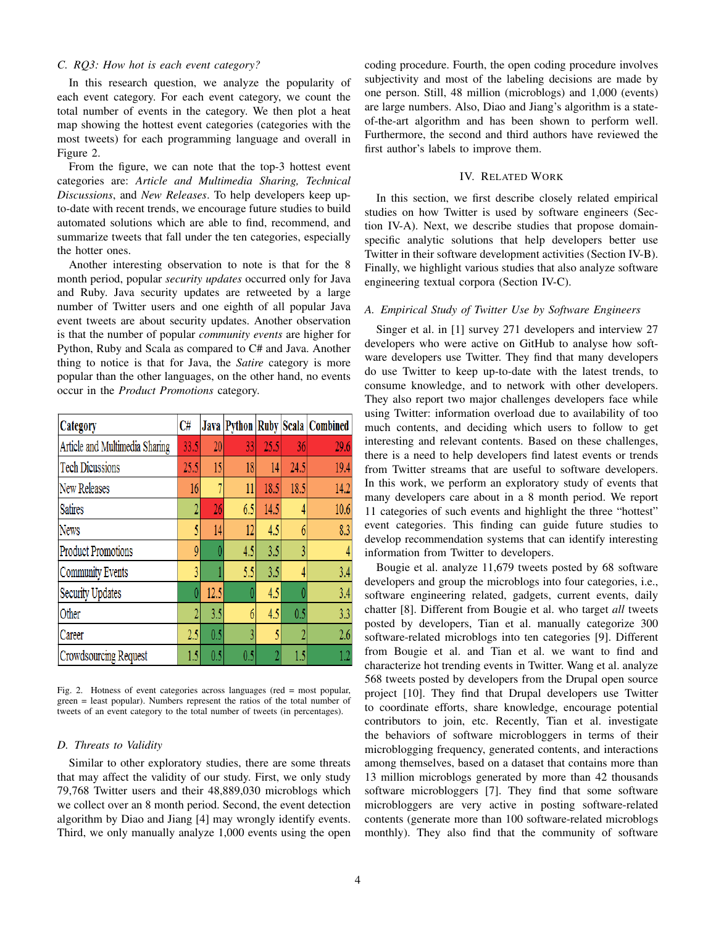## *C. RQ3: How hot is each event category?*

In this research question, we analyze the popularity of each event category. For each event category, we count the total number of events in the category. We then plot a heat map showing the hottest event categories (categories with the most tweets) for each programming language and overall in Figure 2.

From the figure, we can note that the top-3 hottest event categories are: *Article and Multimedia Sharing, Technical Discussions*, and *New Releases*. To help developers keep upto-date with recent trends, we encourage future studies to build automated solutions which are able to find, recommend, and summarize tweets that fall under the ten categories, especially the hotter ones.

Another interesting observation to note is that for the 8 month period, popular *security updates* occurred only for Java and Ruby. Java security updates are retweeted by a large number of Twitter users and one eighth of all popular Java event tweets are about security updates. Another observation is that the number of popular *community events* are higher for Python, Ruby and Scala as compared to C# and Java. Another thing to notice is that for Java, the *Satire* category is more popular than the other languages, on the other hand, no events occur in the *Product Promotions* category.

| <b>Category</b>                | C#   | Java |     |      |      | Python Ruby Scala Combined |
|--------------------------------|------|------|-----|------|------|----------------------------|
| Article and Multimedia Sharing | 33.5 | 20   | 33  | 25.5 | 36   | 29.6                       |
| <b>Tech Dicussions</b>         | 25.5 | 15   | 18  | 14   | 24.5 | 19.4                       |
| New Releases                   |      |      | 11  | 18.5 | 18.5 | 14.2                       |
| <b>Satires</b>                 |      | 26   | 6.5 | 14.5 | 4    | 10.6                       |
| News                           | 5    | 14   | 12  | 4.5  | 6    | 8.3                        |
| <b>Product Promotions</b>      | 9    | Λ    | 4.5 | 3.5  | 3    | $\overline{4}$             |
| Community Events               | 3    |      | 5.5 | 3.5  | 4    | 3.4                        |
| <b>Security Updates</b>        |      | 12.5 |     | 4.5  | ſ    | 3.4                        |
| Other                          | 2    | 3.5  | 6   | 4.5  | 0.5  | 3.3                        |
| Career                         | 2.5  | 0.5  | 3   | 5    | 2    | 2.6                        |
| Crowdsourcing Request          | 1.5  | 0.5  | 0.5 |      | 1.5  | $1.2\,$                    |

Fig. 2. Hotness of event categories across languages (red = most popular, green = least popular). Numbers represent the ratios of the total number of tweets of an event category to the total number of tweets (in percentages).

#### *D. Threats to Validity*

Similar to other exploratory studies, there are some threats that may affect the validity of our study. First, we only study 79,768 Twitter users and their 48,889,030 microblogs which we collect over an 8 month period. Second, the event detection algorithm by Diao and Jiang [4] may wrongly identify events. Third, we only manually analyze 1,000 events using the open

coding procedure. Fourth, the open coding procedure involves subjectivity and most of the labeling decisions are made by one person. Still, 48 million (microblogs) and 1,000 (events) are large numbers. Also, Diao and Jiang's algorithm is a stateof-the-art algorithm and has been shown to perform well. Furthermore, the second and third authors have reviewed the first author's labels to improve them.

## IV. RELATED WORK

In this section, we first describe closely related empirical studies on how Twitter is used by software engineers (Section IV-A). Next, we describe studies that propose domainspecific analytic solutions that help developers better use Twitter in their software development activities (Section IV-B). Finally, we highlight various studies that also analyze software engineering textual corpora (Section IV-C).

## *A. Empirical Study of Twitter Use by Software Engineers*

Singer et al. in [1] survey 271 developers and interview 27 developers who were active on GitHub to analyse how software developers use Twitter. They find that many developers do use Twitter to keep up-to-date with the latest trends, to consume knowledge, and to network with other developers. They also report two major challenges developers face while using Twitter: information overload due to availability of too much contents, and deciding which users to follow to get interesting and relevant contents. Based on these challenges, there is a need to help developers find latest events or trends from Twitter streams that are useful to software developers. In this work, we perform an exploratory study of events that many developers care about in a 8 month period. We report 11 categories of such events and highlight the three "hottest" event categories. This finding can guide future studies to develop recommendation systems that can identify interesting information from Twitter to developers.

Bougie et al. analyze 11,679 tweets posted by 68 software developers and group the microblogs into four categories, i.e., software engineering related, gadgets, current events, daily chatter [8]. Different from Bougie et al. who target *all* tweets posted by developers, Tian et al. manually categorize 300 software-related microblogs into ten categories [9]. Different from Bougie et al. and Tian et al. we want to find and characterize hot trending events in Twitter. Wang et al. analyze 568 tweets posted by developers from the Drupal open source project [10]. They find that Drupal developers use Twitter to coordinate efforts, share knowledge, encourage potential contributors to join, etc. Recently, Tian et al. investigate the behaviors of software microbloggers in terms of their microblogging frequency, generated contents, and interactions among themselves, based on a dataset that contains more than 13 million microblogs generated by more than 42 thousands software microbloggers [7]. They find that some software microbloggers are very active in posting software-related contents (generate more than 100 software-related microblogs monthly). They also find that the community of software